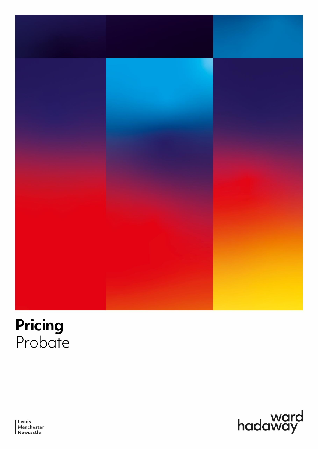

# **Pricing** Probate



Leeds Manchester<br>Newcastle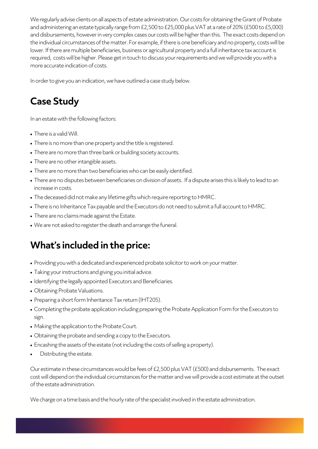We regularly advise clients on all aspects of estate administration. Our costs for obtaining the Grant of Probate and administering an estate typically range from £2,500 to £25,000 plus VAT at a rate of 20%(£500 to £5,000) and disbursements, however in very complex cases our costs will be higher than this. The exact costs depend on the individual circumstances of the matter. For example, if there is one beneficiary and no property, costs will be lower. If there are multiple beneficiaries, business or agricultural property and a full inheritance tax account is required, costs will be higher. Please get in touch to discuss your requirements and we will provide you with a more accurate indication of costs.

In order to give you an indication, we have outlined a case study below.

### **Case Study**

In an estate with the following factors:

- There is a valid Will.
- There is no more than one property and the title is registered.
- There are no more than three bank or building society accounts.
- There are no other intangible assets.
- There are no more than two beneficiaries who can be easily identified.
- There are no disputes between beneficiaries on division of assets. If a dispute arises this is likely to lead to an increase in costs.
- The deceased did not make any lifetime gifts which require reporting to HMRC.
- There is no Inheritance Tax payable and the Executors do not need to submit a full account to HMRC.
- There are no claims made against the Estate.
- We are not asked to register the death and arrange the funeral.

#### **What's included in the price:**

- Providing you with a dedicated and experienced probate solicitor to work on your matter.
- Taking your instructions and giving you initial advice.
- Identifying the legally appointed Executors and Beneficiaries.
- Obtaining Probate Valuations.
- Preparing a short form Inheritance Tax return (IHT205).
- Completing the probate application including preparing the Probate Application Form for the Executors to sign.
- Making the application to the Probate Court.
- Obtaining the probate and sending a copy to the Executors.
- Encashing the assets of the estate (not including the costs of selling a property).
- Distributing the estate.

Our estimate in these circumstances would be fees of £2,500 plus VAT (£500) and disbursements. The exact cost will depend on the individual circumstances for the matter and we will provide a cost estimate at the outset of the estate administration.

We charge on a time basis and the hourly rate of the specialist involved in the estate administration.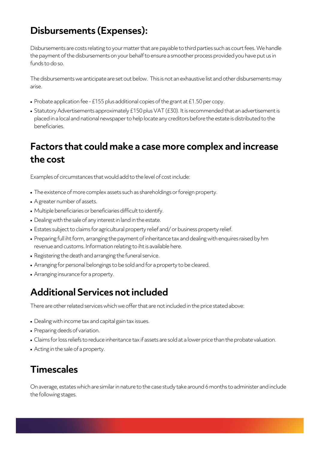### **Disbursements (Expenses):**

Disbursements are costs relating to your matter that are payable to third parties such as court fees. We handle the payment of the disbursements on your behalf to ensure a smoother process provided you have put us in funds to do so.

The disbursements we anticipate are set out below. This is not an exhaustive list and other disbursements may arise.

- Probate application fee -£155 plus additional copies of the grant at £1.50 per copy.
- Statutory Advertisements approximately £150 plus VAT (£30). It is recommended that an advertisement is placed in a local and national newspaper to help locate any creditors before the estate is distributed to the beneficiaries.

#### **Factors that could make a case more complex and increase the cost**

Examples of circumstances that would add to the level of cost include:

- The existence of more complex assets such as shareholdings or foreign property.
- A greater number of assets.
- Multiple beneficiaries or beneficiaries difficult to identify.
- Dealing with the sale of any interest in land in the estate.
- Estates subject to claims for agricultural property relief and/ or business property relief.
- Preparing full iht form, arranging the payment of inheritance tax and dealing with enquires raised by hm revenue and customs. Information relating to iht is availabl[e here.](https://www.gov.uk/guidance/work-out-what-part-of-your-estate-pays-inheritance-tax#the-grossing-up-calculator)
- Registering the death and arranging the funeral service.
- Arranging for personal belongings to be sold and for a property to be cleared.
- Arranging insurance for a property.

#### **Additional Services not included**

There are other related services which we offer that are not included in the price stated above:

- Dealing with income tax and capital gain tax issues.
- Preparing deeds of variation.
- Claims for loss reliefs to reduce inheritance tax if assets are sold at a lower price than the probate valuation.
- Acting in the sale of a property.

#### **Timescales**

On average, estates which are similar in nature to the case study take around 6 months to administer and include the following stages.